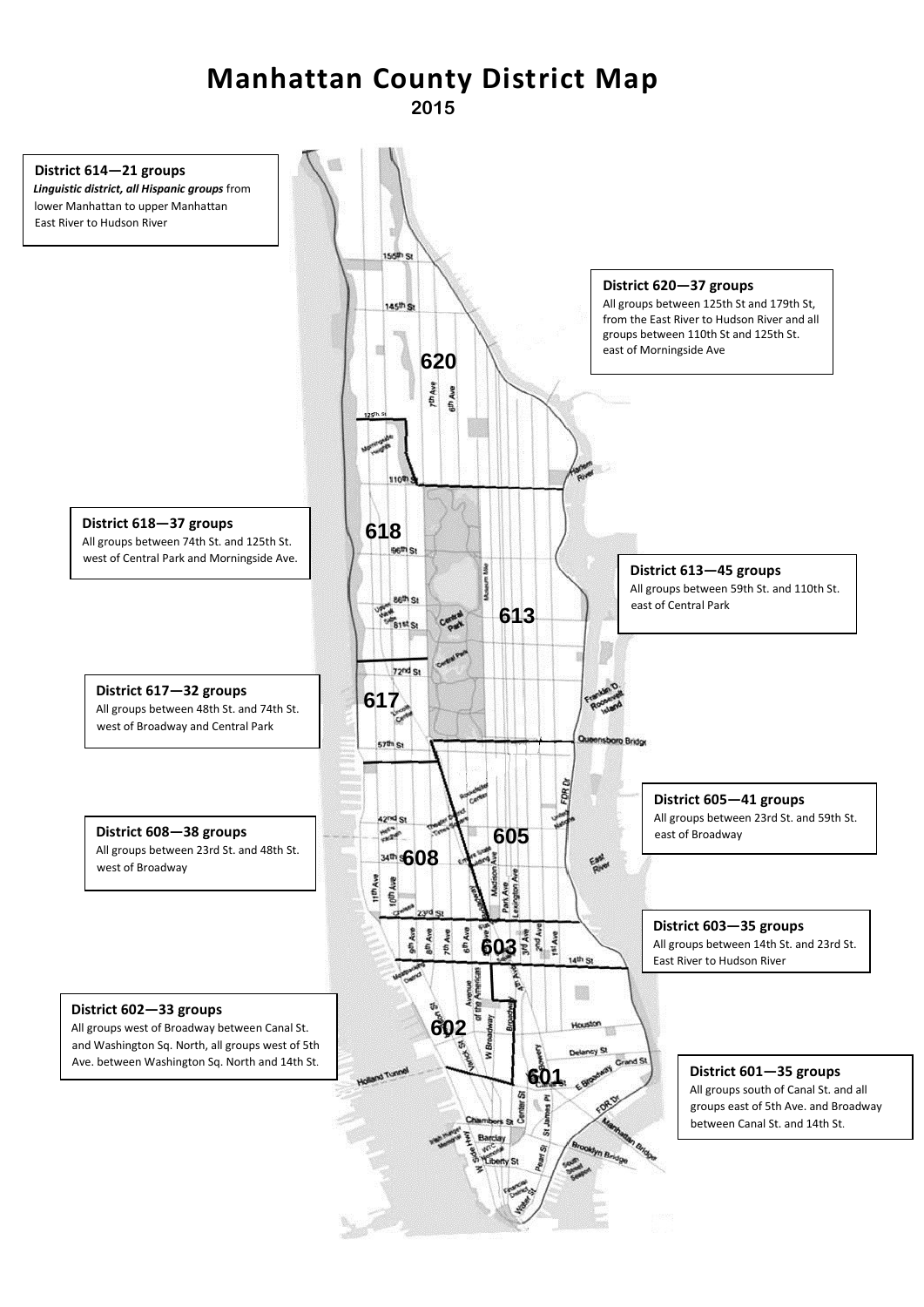# **Manhattan County District Map 2015**